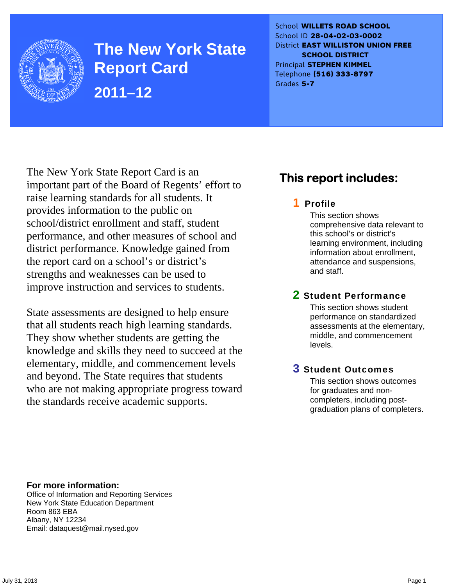

**The New York State Report Card 2011–12** 

School **WILLETS ROAD SCHOOL** School ID **28-04-02-03-0002** District **EAST WILLISTON UNION FREE SCHOOL DISTRICT** Principal **STEPHEN KIMMEL** Telephone **(516) 333-8797** Grades **5-7**

The New York State Report Card is an important part of the Board of Regents' effort to raise learning standards for all students. It provides information to the public on school/district enrollment and staff, student performance, and other measures of school and district performance. Knowledge gained from the report card on a school's or district's strengths and weaknesses can be used to improve instruction and services to students.

State assessments are designed to help ensure that all students reach high learning standards. They show whether students are getting the knowledge and skills they need to succeed at the elementary, middle, and commencement levels and beyond. The State requires that students who are not making appropriate progress toward the standards receive academic supports.

## **This report includes:**

## 1 Profile

This section shows comprehensive data relevant to this school's or district's learning environment, including information about enrollment, attendance and suspensions, and staff.

## 2 Student Performance

This section shows student performance on standardized assessments at the elementary, middle, and commencement levels.

## 3 Student Outcomes

This section shows outcomes for graduates and noncompleters, including postgraduation plans of completers.

**For more information:**  Office of Information and Reporting Services New York State Education Department Room 863 EBA Albany, NY 12234

Email: dataquest@mail.nysed.gov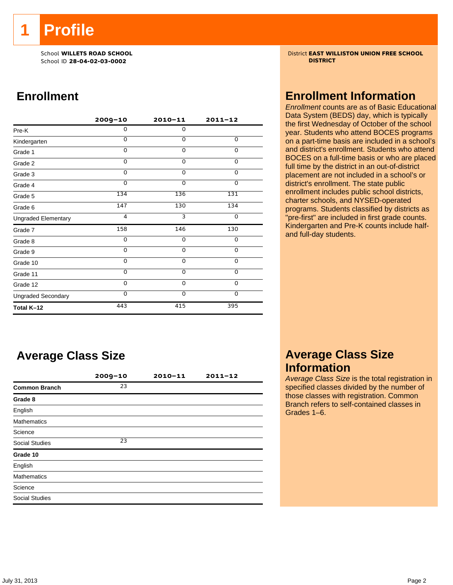**1 Profile** 

School ID **28-04-02-03-0002 DISTRICT**

## **Enrollment**

|                            | $2009 - 10$ | $2010 - 11$ | $2011 - 12$ |
|----------------------------|-------------|-------------|-------------|
| Pre-K                      | 0           | $\mathbf 0$ |             |
| Kindergarten               | 0           | $\Omega$    | 0           |
| Grade 1                    | 0           | 0           | 0           |
| Grade 2                    | 0           | $\mathbf 0$ | 0           |
| Grade 3                    | $\Omega$    | $\mathbf 0$ | 0           |
| Grade 4                    | $\Omega$    | $\Omega$    | 0           |
| Grade 5                    | 134         | 136         | 131         |
| Grade 6                    | 147         | 130         | 134         |
| <b>Ungraded Elementary</b> | 4           | 3           | $\Omega$    |
| Grade 7                    | 158         | 146         | 130         |
| Grade 8                    | 0           | $\mathbf 0$ | 0           |
| Grade 9                    | 0           | 0           | 0           |
| Grade 10                   | 0           | $\mathbf 0$ | 0           |
| Grade 11                   | $\Omega$    | $\mathbf 0$ | 0           |
| Grade 12                   | $\Omega$    | $\mathbf 0$ | 0           |
| <b>Ungraded Secondary</b>  | 0           | $\Omega$    | $\Omega$    |
| Total K-12                 | 443         | 415         | 395         |

## **Average Class Size**

|                      | $2009 - 10$ | $2010 - 11$ | $2011 - 12$ |
|----------------------|-------------|-------------|-------------|
| <b>Common Branch</b> | 23          |             |             |
| Grade 8              |             |             |             |
| English              |             |             |             |
| <b>Mathematics</b>   |             |             |             |
| Science              |             |             |             |
| Social Studies       | 23          |             |             |
| Grade 10             |             |             |             |
| English              |             |             |             |
| <b>Mathematics</b>   |             |             |             |
| Science              |             |             |             |
| Social Studies       |             |             |             |
|                      |             |             |             |

School **WILLETS ROAD SCHOOL** District **EAST WILLISTON UNION FREE SCHOOL**

## **Enrollment Information**

*Enrollment* counts are as of Basic Educational Data System (BEDS) day, which is typically the first Wednesday of October of the school year. Students who attend BOCES programs on a part-time basis are included in a school's and district's enrollment. Students who attend BOCES on a full-time basis or who are placed full time by the district in an out-of-district placement are not included in a school's or district's enrollment. The state public enrollment includes public school districts, charter schools, and NYSED-operated programs. Students classified by districts as "pre-first" are included in first grade counts. Kindergarten and Pre-K counts include halfand full-day students.

## **Average Class Size Information**

*Average Class Size* is the total registration in specified classes divided by the number of those classes with registration. Common Branch refers to self-contained classes in Grades 1–6.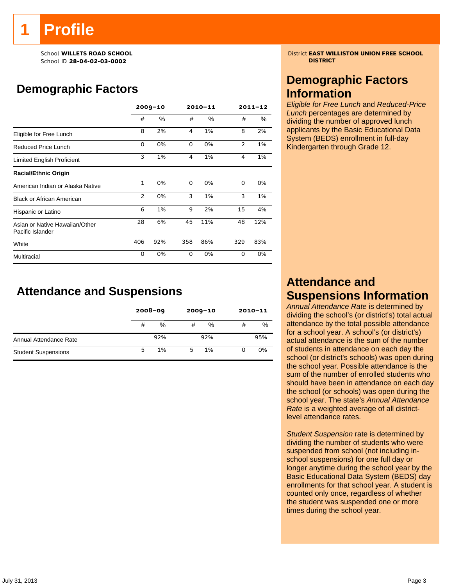# **Profile**

School ID **28-04-02-03-0002 DISTRICT**

# **Demographic Factors**

|                                                    | $2009 - 10$    |      |     | 2010-11 |     | $2011 - 12$ |  |
|----------------------------------------------------|----------------|------|-----|---------|-----|-------------|--|
|                                                    | #              | $\%$ | #   | %       | #   | $\%$        |  |
| Eligible for Free Lunch                            | 8              | 2%   | 4   | 1%      | 8   | 2%          |  |
| Reduced Price Lunch                                | 0              | 0%   | 0   | 0%      | 2   | 1%          |  |
| Limited English Proficient                         | 3              | 1%   | 4   | 1%      | 4   | 1%          |  |
| <b>Racial/Ethnic Origin</b>                        |                |      |     |         |     |             |  |
| American Indian or Alaska Native                   | $\mathbf{1}$   | 0%   | 0   | 0%      | 0   | 0%          |  |
| <b>Black or African American</b>                   | $\overline{2}$ | 0%   | 3   | 1%      | 3   | 1%          |  |
| Hispanic or Latino                                 | 6              | 1%   | 9   | 2%      | 15  | 4%          |  |
| Asian or Native Hawaiian/Other<br>Pacific Islander | 28             | 6%   | 45  | 11%     | 48  | 12%         |  |
| White                                              | 406            | 92%  | 358 | 86%     | 329 | 83%         |  |
| Multiracial                                        | 0              | 0%   | 0   | 0%      | 0   | 0%          |  |

## **Attendance and Suspensions**

|                            | $2008 - 09$ |      | $2009 - 10$ |      | $2010 - 11$ |     |
|----------------------------|-------------|------|-------------|------|-------------|-----|
|                            |             | $\%$ | #           | $\%$ | #           | %   |
| Annual Attendance Rate     |             | 92%  |             | 92%  |             | 95% |
| <b>Student Suspensions</b> | 5           | 1%   | г,          | 1%   | 0           | 0%  |

School **WILLETS ROAD SCHOOL** District **EAST WILLISTON UNION FREE SCHOOL**

## **Demographic Factors Information**

*Eligible for Free Lunch* and *Reduced-Price Lunch* percentages are determined by dividing the number of approved lunch applicants by the Basic Educational Data System (BEDS) enrollment in full-day Kindergarten through Grade 12.

## **Attendance and Suspensions Information**

*Annual Attendance Rate* is determined by dividing the school's (or district's) total actual attendance by the total possible attendance for a school year. A school's (or district's) actual attendance is the sum of the number of students in attendance on each day the school (or district's schools) was open during the school year. Possible attendance is the sum of the number of enrolled students who should have been in attendance on each day the school (or schools) was open during the school year. The state's *Annual Attendance Rate* is a weighted average of all districtlevel attendance rates.

*Student Suspension* rate is determined by dividing the number of students who were suspended from school (not including inschool suspensions) for one full day or longer anytime during the school year by the Basic Educational Data System (BEDS) day enrollments for that school year. A student is counted only once, regardless of whether the student was suspended one or more times during the school year.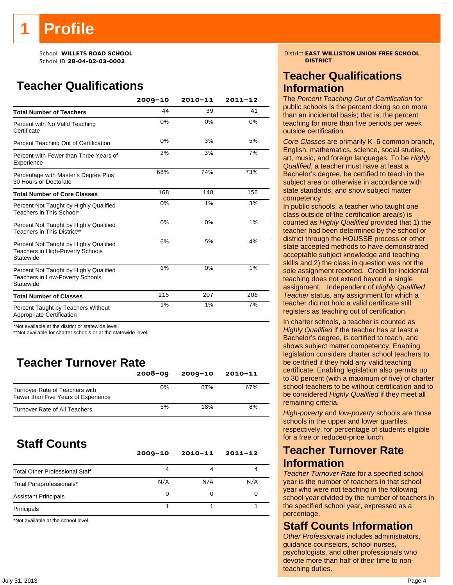School ID **28-04-02-03-0002 DISTRICT**

# **Teacher Qualifications**

|                                                                                               | $2009 - 10$ | $2010 - 11$ | $2011 - 12$ |
|-----------------------------------------------------------------------------------------------|-------------|-------------|-------------|
| <b>Total Number of Teachers</b>                                                               | 44          | 39          | 41          |
| Percent with No Valid Teaching<br>Certificate                                                 | 0%          | 0%          | 0%          |
| Percent Teaching Out of Certification                                                         | 0%          | 3%          | 5%          |
| Percent with Fewer than Three Years of<br>Experience                                          | 2%          | 3%          | 7%          |
| Percentage with Master's Degree Plus<br>30 Hours or Doctorate                                 | 68%         | 74%         | 73%         |
| <b>Total Number of Core Classes</b>                                                           | 168         | 148         | 156         |
| Percent Not Taught by Highly Qualified<br>Teachers in This School*                            | 0%          | 1%          | 3%          |
| Percent Not Taught by Highly Qualified<br>Teachers in This District**                         | 0%          | 0%          | 1%          |
| Percent Not Taught by Highly Qualified<br>Teachers in High-Poverty Schools<br>Statewide       | 6%          | 5%          | 4%          |
| Percent Not Taught by Highly Qualified<br><b>Teachers in Low-Poverty Schools</b><br>Statewide | 1%          | 0%          | 1%          |
| <b>Total Number of Classes</b>                                                                | 215         | 207         | 206         |
| Percent Taught by Teachers Without<br>Appropriate Certification                               | 1%          | 1%          | 7%          |

\*Not available at the district or statewide level.

\*\*Not available for charter schools or at the statewide level.

# **Teacher Turnover Rate**

|                                                                       | $2008 - 09$ | $2009 - 10$ | $2010 - 11$ |
|-----------------------------------------------------------------------|-------------|-------------|-------------|
| Turnover Rate of Teachers with<br>Fewer than Five Years of Experience | 0%          | 67%         | 67%         |
| Turnover Rate of All Teachers                                         | 5%          | 18%         | 8%          |

# **Staff Counts**

|                                       | $2009 - 10$ | $2010 - 11$ | $2011 - 12$ |
|---------------------------------------|-------------|-------------|-------------|
| <b>Total Other Professional Staff</b> | 4           |             |             |
| Total Paraprofessionals*              | N/A         | N/A         | N/A         |
| <b>Assistant Principals</b>           | Ω           |             |             |
| Principals                            |             |             |             |

\*Not available at the school level.

School **WILLETS ROAD SCHOOL** District **EAST WILLISTON UNION FREE SCHOOL**

## **Teacher Qualifications Information**

The *Percent Teaching Out of Certification* for public schools is the percent doing so on more than an incidental basis; that is, the percent teaching for more than five periods per week outside certification.

*Core Classes* are primarily K–6 common branch, English, mathematics, science, social studies, art, music, and foreign languages. To be *Highly Qualified*, a teacher must have at least a Bachelor's degree, be certified to teach in the subject area or otherwise in accordance with state standards, and show subject matter competency.

In public schools, a teacher who taught one class outside of the certification area(s) is counted as *Highly Qualified* provided that 1) the teacher had been determined by the school or district through the HOUSSE process or other state-accepted methods to have demonstrated acceptable subject knowledge and teaching skills and 2) the class in question was not the sole assignment reported. Credit for incidental teaching does not extend beyond a single assignment. Independent of *Highly Qualified Teacher* status, any assignment for which a teacher did not hold a valid certificate still registers as teaching out of certification.

In charter schools, a teacher is counted as *Highly Qualified* if the teacher has at least a Bachelor's degree, is certified to teach, and shows subject matter competency. Enabling legislation considers charter school teachers to be certified if they hold any valid teaching certificate. Enabling legislation also permits up to 30 percent (with a maximum of five) of charter school teachers to be without certification and to be considered *Highly Qualified* if they meet all remaining criteria.

*High-poverty* and *low-poverty* schools are those schools in the upper and lower quartiles, respectively, for percentage of students eligible for a free or reduced-price lunch.

## **Teacher Turnover Rate Information**

*Teacher Turnover Rate* for a specified school year is the number of teachers in that school year who were not teaching in the following school year divided by the number of teachers in the specified school year, expressed as a percentage.

## **Staff Counts Information**

*Other Professionals* includes administrators, guidance counselors, school nurses, psychologists, and other professionals who devote more than half of their time to nonteaching duties.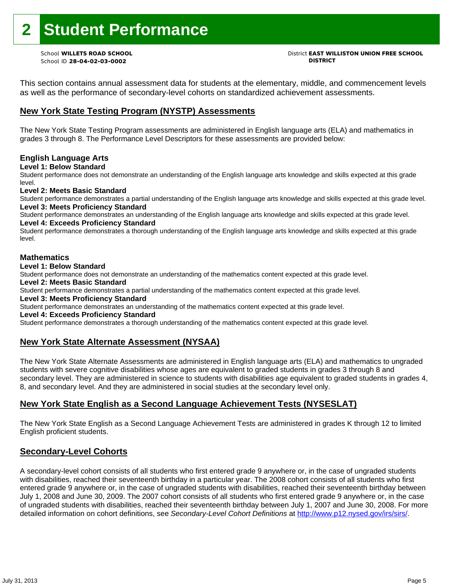# **2 Student Performance**

School ID **28-04-02-03-0002 DISTRICT**

# School **WILLETS ROAD SCHOOL** District **EAST WILLISTON UNION FREE SCHOOL**

This section contains annual assessment data for students at the elementary, middle, and commencement levels as well as the performance of secondary-level cohorts on standardized achievement assessments.

## **New York State Testing Program (NYSTP) Assessments**

The New York State Testing Program assessments are administered in English language arts (ELA) and mathematics in grades 3 through 8. The Performance Level Descriptors for these assessments are provided below:

## **English Language Arts**

**Level 1: Below Standard** 

Student performance does not demonstrate an understanding of the English language arts knowledge and skills expected at this grade level.

## **Level 2: Meets Basic Standard**

Student performance demonstrates a partial understanding of the English language arts knowledge and skills expected at this grade level. **Level 3: Meets Proficiency Standard** 

Student performance demonstrates an understanding of the English language arts knowledge and skills expected at this grade level. **Level 4: Exceeds Proficiency Standard** 

Student performance demonstrates a thorough understanding of the English language arts knowledge and skills expected at this grade level.

## **Mathematics**

## **Level 1: Below Standard**

Student performance does not demonstrate an understanding of the mathematics content expected at this grade level.

## **Level 2: Meets Basic Standard**

Student performance demonstrates a partial understanding of the mathematics content expected at this grade level.

## **Level 3: Meets Proficiency Standard**

Student performance demonstrates an understanding of the mathematics content expected at this grade level.

### **Level 4: Exceeds Proficiency Standard**

Student performance demonstrates a thorough understanding of the mathematics content expected at this grade level.

## **New York State Alternate Assessment (NYSAA)**

The New York State Alternate Assessments are administered in English language arts (ELA) and mathematics to ungraded students with severe cognitive disabilities whose ages are equivalent to graded students in grades 3 through 8 and secondary level. They are administered in science to students with disabilities age equivalent to graded students in grades 4, 8, and secondary level. And they are administered in social studies at the secondary level only.

## **New York State English as a Second Language Achievement Tests (NYSESLAT)**

The New York State English as a Second Language Achievement Tests are administered in grades K through 12 to limited English proficient students.

## **Secondary-Level Cohorts**

A secondary-level cohort consists of all students who first entered grade 9 anywhere or, in the case of ungraded students with disabilities, reached their seventeenth birthday in a particular year. The 2008 cohort consists of all students who first entered grade 9 anywhere or, in the case of ungraded students with disabilities, reached their seventeenth birthday between July 1, 2008 and June 30, 2009. The 2007 cohort consists of all students who first entered grade 9 anywhere or, in the case of ungraded students with disabilities, reached their seventeenth birthday between July 1, 2007 and June 30, 2008. For more detailed information on cohort definitions, see *Secondary-Level Cohort Definitions* at http://www.p12.nysed.gov/irs/sirs/.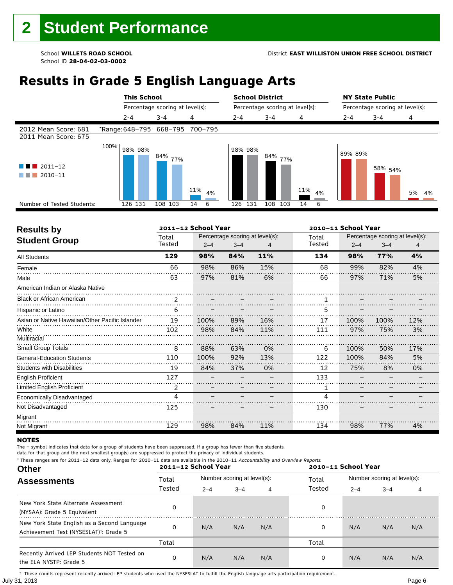#### School **WILLETS ROAD SCHOOL** District **EAST WILLISTON UNION FREE SCHOOL DISTRICT**

School ID **28-04-02-03-0002**

## **Results in Grade 5 English Language Arts**

|                                                    |      |         | <b>This School</b><br>Percentage scoring at level(s): |           | <b>School District</b><br>Percentage scoring at level(s): |            |           | <b>NY State Public</b><br>Percentage scoring at level(s): |                    |          |
|----------------------------------------------------|------|---------|-------------------------------------------------------|-----------|-----------------------------------------------------------|------------|-----------|-----------------------------------------------------------|--------------------|----------|
|                                                    |      |         |                                                       |           |                                                           |            |           |                                                           |                    |          |
|                                                    |      | 2-4     | $3 - 4$                                               | 4         | 2-4                                                       | $3 - 4$    | 4         | $2 - 4$                                                   | $3 - 4$            | 4        |
| 2012 Mean Score: 681<br>2011 Mean Score: 675       |      |         | *Range: 648-795 668-795 700-795                       |           |                                                           |            |           |                                                           |                    |          |
| $\blacksquare$ 2011-12<br>2010-11<br>and the state | 100% | 98% 98% | 84% <sub>77%</sub>                                    | 11%<br>4% | 98% 98%                                                   | 84%<br>77% | 11%<br>4% | 89% 89%                                                   | 58% <sub>54%</sub> | 5%<br>4% |
| Number of Tested Students:                         |      | 126 131 | 108 103                                               | 14<br>6   | 131<br>126                                                | 108<br>103 | 6<br>14   |                                                           |                    |          |
|                                                    |      |         |                                                       |           |                                                           |            |           |                                                           |                    |          |

| <b>Results by</b>                               |                | 2011-12 School Year |         |                                 |        | 2010-11 School Year |                                 |     |  |
|-------------------------------------------------|----------------|---------------------|---------|---------------------------------|--------|---------------------|---------------------------------|-----|--|
| <b>Student Group</b>                            | Total          |                     |         | Percentage scoring at level(s): | Total  |                     | Percentage scoring at level(s): |     |  |
|                                                 | Tested         | $2 - 4$             | $3 - 4$ | 4                               | Tested | $2 - 4$             | $3 - 4$                         | 4   |  |
| <b>All Students</b>                             | 129            | 98%                 | 84%     | 11%                             | 134    | 98%                 | 77%                             | 4%  |  |
| Female                                          | 66             | 98%                 | 86%     | 15%                             | 68     | 99%                 | 82%                             | 4%  |  |
| Male                                            | 63             | 97%                 | 81%     | 6%                              | 66     | 97%                 | 71%                             | 5%  |  |
| American Indian or Alaska Native                |                |                     |         |                                 |        |                     |                                 |     |  |
| <b>Black or African American</b>                | $\overline{2}$ |                     |         |                                 |        |                     |                                 |     |  |
| Hispanic or Latino                              | 6              |                     |         |                                 | 5      |                     |                                 |     |  |
| Asian or Native Hawaiian/Other Pacific Islander | 19             | 100%                | 89%     | 16%                             | 17     | 100%                | 100%                            | 12% |  |
| White                                           | 102            | 98%                 | 84%     | 11%                             | 111    | 97%                 | 75%                             | 3%  |  |
| Multiracial                                     |                |                     |         |                                 |        |                     |                                 |     |  |
| <b>Small Group Totals</b>                       | 8              | 88%                 | 63%     | 0%                              | 6      | 100%                | 50%                             | 17% |  |
| <b>General-Education Students</b>               | 110            | 100%                | 92%     | 13%                             | 122    | 100%                | 84%                             | 5%  |  |
| <b>Students with Disabilities</b>               | 19             | 84%                 | 37%     | 0%                              | 12     | 75%                 | 8%                              | 0%  |  |
| <b>English Proficient</b>                       | 127            |                     |         |                                 | 133    |                     |                                 |     |  |
| Limited English Proficient                      | 2              |                     |         |                                 | 1      |                     |                                 |     |  |
| Economically Disadvantaged                      | 4              |                     |         |                                 | 4      |                     |                                 |     |  |
| Not Disadvantaged                               | 125            |                     |         |                                 | 130    |                     |                                 |     |  |
| Migrant                                         |                |                     |         |                                 |        |                     |                                 |     |  |
| Not Migrant                                     | 129            | 98%                 | 84%     | 11%                             | 134    | 98%                 | 77%                             | 4%  |  |

#### **NOTES**

The – symbol indicates that data for a group of students have been suppressed. If a group has fewer than five students,

data for that group and the next smallest group(s) are suppressed to protect the privacy of individual students.

**Other Assessments**  2011-12 School Year Number scoring at level(s): Total Number scoring at level(s): 2–4 3–4 4 2–4 3–4 4 \* These ranges are for 2011–12 data only. Ranges for 2010–11 data are available in the 2010–11 Accountability and Overview Reports. **2011–12 School Year 2010–11 School Year** Total Tested Total Tested New York State Alternate Assessment (NYSAA): Grade 5 Equivalent <sup>0</sup> <sup>0</sup> New York State English as a Second Language Achievement Test (NYSESLAT)†: Grade 5 <sup>0</sup> N/A N/A N/A <sup>0</sup> N/A N/A N/A Total Total Recently Arrived LEP Students NOT Tested on the ELA NYSTP: Grade 5 0 N/A N/A N/A 0 N/A N/A N/A

July 31, 2013 Page 6 † These counts represent recently arrived LEP students who used the NYSESLAT to fulfill the English language arts participation requirement.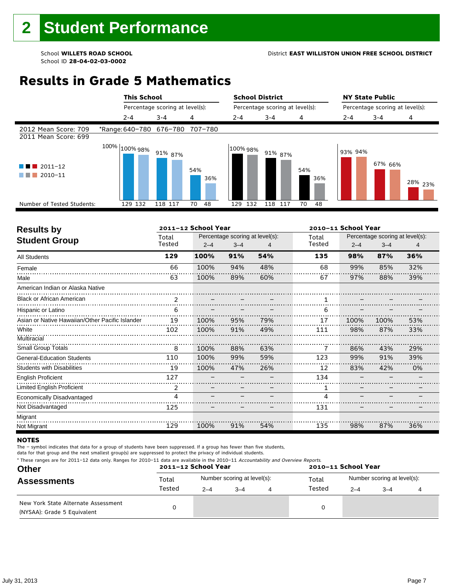# **Results in Grade 5 Mathematics**

|                                              | <b>This School</b>              |                                 |            | <b>School District</b> |                                 |            |         | <b>NY State Public</b>          |                    |  |
|----------------------------------------------|---------------------------------|---------------------------------|------------|------------------------|---------------------------------|------------|---------|---------------------------------|--------------------|--|
|                                              |                                 | Percentage scoring at level(s): |            |                        | Percentage scoring at level(s): |            |         | Percentage scoring at level(s): |                    |  |
|                                              | $2 - 4$                         | $3 - 4$                         | 4          | $2 - 4$                | $3 - 4$                         | 4          | 2-4     | $3 - 4$                         | 4                  |  |
| 2012 Mean Score: 709<br>2011 Mean Score: 699 | *Range: 640-780 676-780 707-780 |                                 |            |                        |                                 |            |         |                                 |                    |  |
| $\blacksquare$ 2011-12<br>2010-11            | $100\%$ $ 100\%$ 98%            | 91% 87%                         | 54%<br>36% | 100% 98%               | 91% 87%                         | 54%<br>36% | 93% 94% | 67% 66%                         | <sup>28%</sup> 23% |  |
| Number of Tested Students:                   | 129 132                         | 118 117                         | 48<br>70   | 132<br>129             | 118<br>117                      | 70<br>48   |         |                                 |                    |  |
|                                              |                                 |                                 |            |                        |                                 |            |         |                                 |                    |  |

| <b>Results by</b>                               |                | 2011-12 School Year             |         |     |        | 2010-11 School Year |                                 |     |  |
|-------------------------------------------------|----------------|---------------------------------|---------|-----|--------|---------------------|---------------------------------|-----|--|
| <b>Student Group</b>                            | Total          | Percentage scoring at level(s): |         |     | Total  |                     | Percentage scoring at level(s): |     |  |
|                                                 | Tested         | $2 - 4$                         | $3 - 4$ |     | Tested | $2 - 4$             | $3 - 4$                         | 4   |  |
| <b>All Students</b>                             | 129            | 100%                            | 91%     | 54% | 135    | 98%                 | 87%                             | 36% |  |
| Female                                          | 66             | 100%                            | 94%     | 48% | 68     | 99%                 | 85%                             | 32% |  |
| Male                                            | 63             | 100%                            | 89%     | 60% | 67     | 97%                 | 88%                             | 39% |  |
| American Indian or Alaska Native                |                |                                 |         |     |        |                     |                                 |     |  |
| <b>Black or African American</b>                | $\mathfrak{p}$ |                                 |         |     |        |                     |                                 |     |  |
| Hispanic or Latino                              | 6              |                                 |         |     | 6      |                     |                                 |     |  |
| Asian or Native Hawaiian/Other Pacific Islander | 19             | 100%                            | 95%     | 79% | 17     | 100%                | 100%                            | 53% |  |
| White                                           | 102            | 100%                            | 91%     | 49% | 111    | 98%                 | 87%                             | 33% |  |
| Multiracial                                     |                |                                 |         |     |        |                     |                                 |     |  |
| <b>Small Group Totals</b>                       | 8              | 100%                            | 88%     | 63% |        | 86%                 | 43%                             | 29% |  |
| <b>General-Education Students</b>               | 110            | 100%                            | 99%     | 59% | 123    | 99%                 | 91%                             | 39% |  |
| <b>Students with Disabilities</b>               | 19             | 100%                            | 47%     | 26% | 12     | 83%                 | 42%                             | 0%  |  |
| <b>English Proficient</b>                       | 127            |                                 |         |     | 134    |                     |                                 |     |  |
| <b>Limited English Proficient</b>               | 2              |                                 |         |     | 1      |                     |                                 |     |  |
| Economically Disadvantaged                      | 4              |                                 |         |     | 4      |                     |                                 |     |  |
| Not Disadvantaged                               | 125            |                                 |         |     | 131    |                     |                                 |     |  |
| Migrant                                         |                |                                 |         |     |        |                     |                                 |     |  |
| Not Migrant                                     | 129            | 100%                            | 91%     | 54% | 135    | 98%                 | 87%                             | 36% |  |

#### **NOTES**

The – symbol indicates that data for a group of students have been suppressed. If a group has fewer than five students,

| * These ranges are for 2011-12 data only. Ranges for 2010-11 data are available in the 2010-11 Accountability and Overview Reports. |  |
|-------------------------------------------------------------------------------------------------------------------------------------|--|
|-------------------------------------------------------------------------------------------------------------------------------------|--|

| <b>Other</b>                                                       |        | 2011-12 School Year         |         |   | 2010-11 School Year |         |                             |  |  |  |  |
|--------------------------------------------------------------------|--------|-----------------------------|---------|---|---------------------|---------|-----------------------------|--|--|--|--|
| <b>Assessments</b>                                                 | Total  | Number scoring at level(s): |         |   | Total               |         | Number scoring at level(s): |  |  |  |  |
|                                                                    | Tested | $2 - 4$                     | $3 - 4$ | 4 | Tested              | $2 - 4$ | $3 - 4$                     |  |  |  |  |
| New York State Alternate Assessment<br>(NYSAA): Grade 5 Equivalent |        |                             |         |   | 0                   |         |                             |  |  |  |  |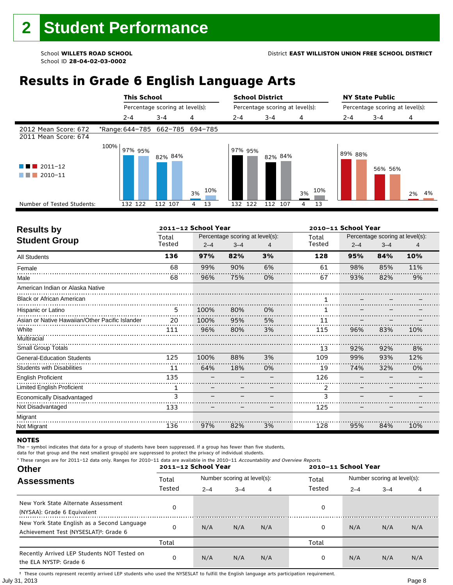# **Results in Grade 6 English Language Arts**

|                                                                     |      | <b>This School</b> |                                 |           | <b>School District</b>          |            |           | <b>NY State Public</b>          |         |       |
|---------------------------------------------------------------------|------|--------------------|---------------------------------|-----------|---------------------------------|------------|-----------|---------------------------------|---------|-------|
|                                                                     |      |                    | Percentage scoring at level(s): |           | Percentage scoring at level(s): |            |           | Percentage scoring at level(s): |         |       |
|                                                                     |      | $2 - 4$            | $3 - 4$                         | 4         | $2 - 4$                         | $3 - 4$    | 4         | $2 - 4$                         | $3 - 4$ | 4     |
| 2012 Mean Score: 672<br>2011 Mean Score: 674                        |      |                    | *Range: 644-785 662-785 694-785 |           |                                 |            |           |                                 |         |       |
| $\blacksquare$ 2011-12<br>a kacamatan<br>2010-11<br>and the control | 100% | 97% 95%            | 82% 84%                         | 10%<br>3% | 97% 95%                         | 82% 84%    | 10%<br>3% | 89% 88%                         | 56% 56% | 2% 4% |
| Number of Tested Students:                                          |      | 132 122            | 112 107                         | 13<br>4   | 122<br>132                      | 112<br>107 | 13<br>4   |                                 |         |       |
|                                                                     |      |                    |                                 |           |                                 |            |           |                                 |         |       |

| <b>Results by</b>                               |        | 2011-12 School Year |                                 |    | 2010-11 School Year |         |                                 |     |
|-------------------------------------------------|--------|---------------------|---------------------------------|----|---------------------|---------|---------------------------------|-----|
| <b>Student Group</b>                            | Total  |                     | Percentage scoring at level(s): |    | Total               |         | Percentage scoring at level(s): |     |
|                                                 | Tested | $2 - 4$             | $3 - 4$                         | 4  | Tested              | $2 - 4$ | $3 - 4$                         | 4   |
| <b>All Students</b>                             | 136    | 97%                 | 82%                             | 3% | 128                 | 95%     | 84%                             | 10% |
| Female                                          | 68     | 99%                 | 90%                             | 6% | 61                  | 98%     | 85%                             | 11% |
| Male                                            | 68     | 96%                 | 75%                             | 0% | 67                  | 93%     | 82%                             | 9%  |
| American Indian or Alaska Native                |        |                     |                                 |    |                     |         |                                 |     |
| <b>Black or African American</b>                |        |                     |                                 |    |                     |         |                                 |     |
| Hispanic or Latino                              | 5      | 100%                | 80%                             | 0% |                     |         |                                 |     |
| Asian or Native Hawaiian/Other Pacific Islander | 20     | 100%                | 95%                             | 5% | 11                  |         |                                 |     |
| White                                           | 111    | 96%                 | 80%                             | 3% | 115                 | 96%     | 83%                             | 10% |
| Multiracial                                     |        |                     |                                 |    |                     |         |                                 |     |
| <b>Small Group Totals</b>                       |        |                     |                                 |    | 13                  | 92%     | 92%                             | 8%  |
| <b>General-Education Students</b>               | 125    | 100%                | 88%                             | 3% | 109                 | 99%     | 93%                             | 12% |
| <b>Students with Disabilities</b>               | 11     | 64%                 | 18%                             | 0% | 19                  | 74%     | 32%                             | 0%  |
| <b>English Proficient</b>                       | 135    |                     |                                 |    | 126                 |         |                                 |     |
| Limited English Proficient                      | 1      |                     |                                 |    | 2                   |         |                                 |     |
| Economically Disadvantaged                      | 3      |                     |                                 |    | 3                   |         |                                 |     |
| Not Disadvantaged                               | 133    |                     |                                 |    | 125                 |         |                                 |     |
| Migrant                                         |        |                     |                                 |    |                     |         |                                 |     |
| Not Migrant                                     | 136    | 97%                 | 82%                             | 3% | 128                 | 95%     | 84%                             | 10% |

#### **NOTES**

The – symbol indicates that data for a group of students have been suppressed. If a group has fewer than five students,

data for that group and the next smallest group(s) are suppressed to protect the privacy of individual students.

**Other Assessments**  2011-12 School Year Number scoring at level(s): Total Number scoring at level(s): 2–4 3–4 4 2–4 3–4 4 \* These ranges are for 2011–12 data only. Ranges for 2010–11 data are available in the 2010–11 Accountability and Overview Reports. **2011–12 School Year 2010–11 School Year** Total Tested Total Tested New York State Alternate Assessment (NYSAA): Grade 6 Equivalent <sup>0</sup> <sup>0</sup> New York State English as a Second Language Achievement Test (NYSESLAT)†: Grade 6 <sup>0</sup> N/A N/A N/A <sup>0</sup> N/A N/A N/A Total Total Recently Arrived LEP Students NOT Tested on the ELA NYSTP: Grade 6 0 N/A N/A N/A 0 N/A N/A N/A

July 31, 2013 Page 8 † These counts represent recently arrived LEP students who used the NYSESLAT to fulfill the English language arts participation requirement.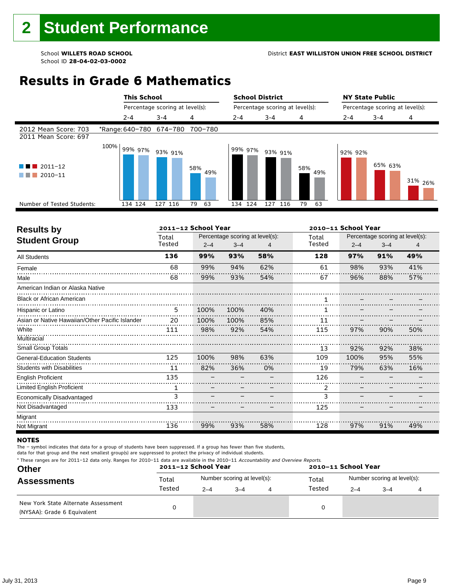# **Results in Grade 6 Mathematics**

|                                              | <b>This School</b>              |                                 |            | <b>School District</b>          |            |            |         | <b>NY State Public</b>          |                    |
|----------------------------------------------|---------------------------------|---------------------------------|------------|---------------------------------|------------|------------|---------|---------------------------------|--------------------|
|                                              |                                 | Percentage scoring at level(s): |            | Percentage scoring at level(s): |            |            |         | Percentage scoring at level(s): |                    |
|                                              | $2 - 4$                         | $3 - 4$                         | 4          | $2 - 4$                         | $3 - 4$    | 4          | 2-4     | $3 - 4$                         | 4                  |
| 2012 Mean Score: 703<br>2011 Mean Score: 697 | *Range: 640-780 674-780 700-780 |                                 |            |                                 |            |            |         |                                 |                    |
| $2011 - 12$<br>a ka<br>2010-11               | 100%<br>99% 97%                 | 93% 91%                         | 58%<br>49% | 99% 97%                         | 93% 91%    | 58%<br>49% | 92% 92% | 65% 63%                         | 31% <sub>26%</sub> |
| Number of Tested Students:                   | 134 124                         | 127 116                         | 63<br>79   | 124<br>134                      | 127<br>116 | 79<br>63   |         |                                 |                    |
|                                              |                                 |                                 |            |                                 |            |            |         |                                 |                    |

| <b>Results by</b>                               |        | 2011-12 School Year |                                 |     |        | 2010-11 School Year |                                 |     |  |
|-------------------------------------------------|--------|---------------------|---------------------------------|-----|--------|---------------------|---------------------------------|-----|--|
| <b>Student Group</b>                            | Total  |                     | Percentage scoring at level(s): |     | Total  |                     | Percentage scoring at level(s): |     |  |
|                                                 | Tested | $2 - 4$             | $3 - 4$                         | 4   | Tested | $2 - 4$             | $3 - 4$                         | 4   |  |
| <b>All Students</b>                             | 136    | 99%                 | 93%                             | 58% | 128    | 97%                 | 91%                             | 49% |  |
| Female                                          | 68     | 99%                 | 94%                             | 62% | 61     | 98%                 | 93%                             | 41% |  |
| Male                                            | 68     | 99%                 | 93%                             | 54% | 67     | 96%                 | 88%                             | 57% |  |
| American Indian or Alaska Native                |        |                     |                                 |     |        |                     |                                 |     |  |
| <b>Black or African American</b>                |        |                     |                                 |     |        |                     |                                 |     |  |
| Hispanic or Latino                              | 5      | 100%                | 100%                            | 40% |        |                     |                                 |     |  |
| Asian or Native Hawaiian/Other Pacific Islander | 20     | 100%                | 100%                            | 85% | 11     |                     |                                 |     |  |
| White                                           | 111    | 98%                 | 92%                             | 54% | 115    | 97%                 | 90%                             | 50% |  |
| Multiracial                                     |        |                     |                                 |     |        |                     |                                 |     |  |
| <b>Small Group Totals</b>                       |        |                     |                                 |     | 13     | 92%                 | 92%                             | 38% |  |
| <b>General-Education Students</b>               | 125    | 100%                | 98%                             | 63% | 109    | 100%                | 95%                             | 55% |  |
| <b>Students with Disabilities</b>               | 11     | 82%                 | 36%                             | 0%  | 19     | 79%                 | 63%                             | 16% |  |
| <b>English Proficient</b>                       | 135    |                     |                                 |     | 126    |                     |                                 |     |  |
| Limited English Proficient                      | 1      |                     |                                 |     | 2      |                     |                                 |     |  |
| Economically Disadvantaged                      | 3      |                     |                                 |     | 3      |                     |                                 |     |  |
| Not Disadvantaged                               | 133    |                     |                                 |     | 125    |                     |                                 |     |  |
| Migrant                                         |        |                     |                                 |     |        |                     |                                 |     |  |
| Not Migrant                                     | 136    | 99%                 | 93%                             | 58% | 128    | 97%                 | 91%                             | 49% |  |

#### **NOTES**

The – symbol indicates that data for a group of students have been suppressed. If a group has fewer than five students,

| <b>Other</b><br><b>Assessments</b>                                 | * These ranges are for 2011-12 data only. Ranges for 2010-11 data are available in the 2010-11 Accountability and Overview Reports.<br>2011-12 School Year<br>2010-11 School Year |         |                             |  |        |         |                             |  |  |  |  |
|--------------------------------------------------------------------|-----------------------------------------------------------------------------------------------------------------------------------------------------------------------------------|---------|-----------------------------|--|--------|---------|-----------------------------|--|--|--|--|
|                                                                    | Total<br>Tested                                                                                                                                                                   |         | Number scoring at level(s): |  | Total  |         | Number scoring at level(s): |  |  |  |  |
|                                                                    |                                                                                                                                                                                   | $2 - 4$ | $3 - 4$                     |  | Tested | $2 - 4$ | $3 - 4$                     |  |  |  |  |
| New York State Alternate Assessment<br>(NYSAA): Grade 6 Equivalent |                                                                                                                                                                                   |         |                             |  |        |         |                             |  |  |  |  |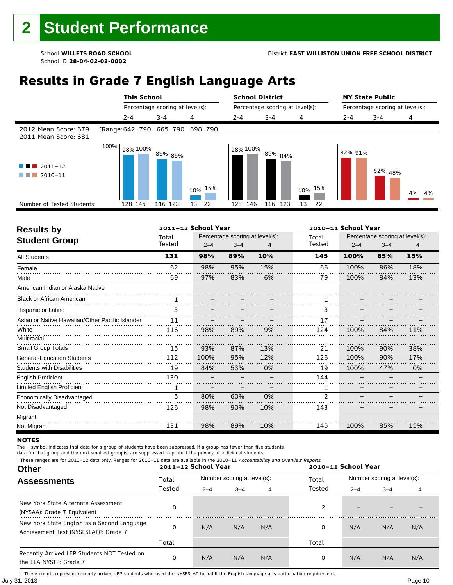# **Results in Grade 7 English Language Arts**

|                                              |      | <b>This School</b>      |                                 |            | <b>School District</b> |                                 |               |         | <b>NY State Public</b>          |          |
|----------------------------------------------|------|-------------------------|---------------------------------|------------|------------------------|---------------------------------|---------------|---------|---------------------------------|----------|
|                                              |      |                         | Percentage scoring at level(s): |            |                        | Percentage scoring at level(s): |               |         | Percentage scoring at level(s): |          |
|                                              |      | $2 - 4$                 | $3 - 4$                         | 4          | $2 - 4$                | $3 - 4$                         | 4             | $2 - 4$ | $3 - 4$                         | 4        |
| 2012 Mean Score: 679<br>2011 Mean Score: 681 |      | *Range: 642-790 665-790 |                                 | 698-790    |                        |                                 |               |         |                                 |          |
| $12011 - 12$<br>2010-11                      | 100% | 98% 100%                | 89% <sub>85%</sub>              | 15%<br>10% | 98% 100%               | 89% <sub>84%</sub>              | $10\%$ $15\%$ | 92% 91% | 52% 48%                         | 4%<br>4% |
| Number of Tested Students:                   |      | 128 145                 | 116 123                         | 13<br>22   | 146<br>128             | 116 123                         | 13<br>22      |         |                                 |          |
|                                              |      |                         |                                 |            |                        |                                 |               |         |                                 |          |

| <b>Results by</b>                               |        | 2011-12 School Year |                                 |     |                | 2010-11 School Year |                                 |     |  |  |
|-------------------------------------------------|--------|---------------------|---------------------------------|-----|----------------|---------------------|---------------------------------|-----|--|--|
| <b>Student Group</b>                            | Total  |                     | Percentage scoring at level(s): |     | Total          |                     | Percentage scoring at level(s): |     |  |  |
|                                                 | Tested | $2 - 4$             | $3 - 4$                         | 4   | Tested         | $2 - 4$             | $3 - 4$                         | 4   |  |  |
| <b>All Students</b>                             | 131    | 98%                 | 89%                             | 10% | 145            | 100%                | 85%                             | 15% |  |  |
| Female                                          | 62     | 98%                 | 95%                             | 15% | 66             | 100%                | 86%                             | 18% |  |  |
| Male                                            | 69     | 97%                 | 83%                             | 6%  | 79             | 100%                | 84%                             | 13% |  |  |
| American Indian or Alaska Native                |        |                     |                                 |     |                |                     |                                 |     |  |  |
| <b>Black or African American</b>                |        |                     |                                 |     |                |                     |                                 |     |  |  |
| Hispanic or Latino                              | 3      |                     |                                 |     | 3              |                     |                                 |     |  |  |
| Asian or Native Hawaiian/Other Pacific Islander | 11     |                     |                                 |     | 17             |                     |                                 |     |  |  |
| White                                           | 116    | 98%                 | 89%                             | 9%  | 124            | 100%                | 84%                             | 11% |  |  |
| Multiracial                                     |        |                     |                                 |     |                |                     |                                 |     |  |  |
| <b>Small Group Totals</b>                       | 15     | 93%                 | 87%                             | 13% | 21             | 100%                | 90%                             | 38% |  |  |
| <b>General-Education Students</b>               | 112    | 100%                | 95%                             | 12% | 126            | 100%                | 90%                             | 17% |  |  |
| <b>Students with Disabilities</b>               | 19     | 84%                 | 53%                             | 0%  | 19             | 100%                | 47%                             | 0%  |  |  |
| <b>English Proficient</b>                       | 130    |                     |                                 |     | 144            |                     |                                 |     |  |  |
| Limited English Proficient                      |        |                     |                                 |     |                |                     |                                 |     |  |  |
| Economically Disadvantaged                      | 5      | 80%                 | 60%                             | 0%  | $\overline{2}$ |                     |                                 |     |  |  |
| Not Disadvantaged                               | 126    | 98%                 | 90%                             | 10% | 143            |                     |                                 |     |  |  |
| Migrant                                         |        |                     |                                 |     |                |                     |                                 |     |  |  |
| Not Migrant                                     | 131    | 98%                 | 89%                             | 10% | 145            | 100%                | 85%                             | 15% |  |  |

#### **NOTES**

Ė

The – symbol indicates that data for a group of students have been suppressed. If a group has fewer than five students,

data for that group and the next smallest group(s) are suppressed to protect the privacy of individual students.<br>\* These ranges are for 2011-12 data only. Banges for 2010-11 data are available in the 2010-11 Accountabili for 2011–12 data only. Ranges for 2010–11 data are available in the 2010–11 Accountability

| These ranges are for 2011–12 data only. Ranges for 2010–11 data are available in the 2010–11 <i>Accountability and Overview Reports.</i><br><b>Other</b> |          | 2011-12 School Year |                             |     |        | 2010-11 School Year |                             |     |  |
|----------------------------------------------------------------------------------------------------------------------------------------------------------|----------|---------------------|-----------------------------|-----|--------|---------------------|-----------------------------|-----|--|
| <b>Assessments</b>                                                                                                                                       | Total    |                     | Number scoring at level(s): |     | Total  |                     | Number scoring at level(s): |     |  |
|                                                                                                                                                          | Tested   | $2 - 4$             | $3 - 4$                     | 4   | Tested | $2 - 4$             | $3 - 4$                     | 4   |  |
| New York State Alternate Assessment<br>(NYSAA): Grade 7 Equivalent                                                                                       | O        |                     |                             |     |        |                     |                             |     |  |
| New York State English as a Second Language<br>Achievement Test (NYSESLAT) <sup>+</sup> : Grade 7                                                        | $\Omega$ | N/A                 | N/A                         | N/A | 0      | N/A                 | N/A                         | N/A |  |
|                                                                                                                                                          | Total    |                     |                             |     | Total  |                     |                             |     |  |
| Recently Arrived LEP Students NOT Tested on<br>the ELA NYSTP: Grade 7                                                                                    | 0        | N/A                 | N/A                         | N/A | 0      | N/A                 | N/A                         | N/A |  |

July 31, 2013 Page 10 † These counts represent recently arrived LEP students who used the NYSESLAT to fulfill the English language arts participation requirement.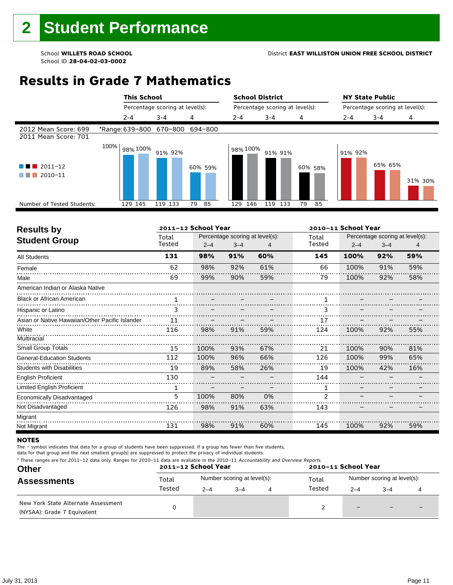# **Results in Grade 7 Mathematics**

|                                                   | <b>This School</b>              |                                 |          | <b>School District</b> |                                 |          |         | <b>NY State Public</b> | Percentage scoring at level(s): |  |
|---------------------------------------------------|---------------------------------|---------------------------------|----------|------------------------|---------------------------------|----------|---------|------------------------|---------------------------------|--|
|                                                   |                                 | Percentage scoring at level(s): |          |                        | Percentage scoring at level(s): |          |         |                        |                                 |  |
|                                                   | $2 - 4$                         | $3 - 4$                         | 4        | $2 - 4$                | $3 - 4$                         | 4        | 2-4     | $3 - 4$                | 4                               |  |
| 2012 Mean Score: 699<br>2011 Mean Score: 701      | *Range: 639-800 670-800 694-800 |                                 |          |                        |                                 |          |         |                        |                                 |  |
| $2011 - 12$<br>4 E I<br>a sa B<br>2010-11<br>a sa | 100%<br>98% 100%                | 91% 92%                         | 60% 59%  | 98% 100%               | 91% 91%                         | 60% 58%  | 91% 92% | 65% 65%                | 31% 30%                         |  |
| Number of Tested Students:                        | 129 145                         | 119 133                         | 79<br>85 | 146<br>129             | 119<br>133                      | 79<br>85 |         |                        |                                 |  |
|                                                   |                                 |                                 |          |                        |                                 |          |         |                        |                                 |  |

| <b>Results by</b>                               |        | 2011-12 School Year |                                 |     |                |         |                                 | 2010-11 School Year |  |  |  |  |
|-------------------------------------------------|--------|---------------------|---------------------------------|-----|----------------|---------|---------------------------------|---------------------|--|--|--|--|
| <b>Student Group</b>                            | Total  |                     | Percentage scoring at level(s): |     | Total          |         | Percentage scoring at level(s): |                     |  |  |  |  |
|                                                 | Tested | $2 - 4$             | $3 - 4$                         |     | Tested         | $2 - 4$ | $3 - 4$                         | 4                   |  |  |  |  |
| <b>All Students</b>                             | 131    | 98%                 | 91%                             | 60% | 145            | 100%    | 92%                             | 59%                 |  |  |  |  |
| Female                                          | 62     | 98%                 | 92%                             | 61% | 66             | 100%    | 91%                             | 59%                 |  |  |  |  |
| Male                                            | 69     | 99%                 | 90%                             | 59% | 79             | 100%    | 92%                             | 58%                 |  |  |  |  |
| American Indian or Alaska Native                |        |                     |                                 |     |                |         |                                 |                     |  |  |  |  |
| <b>Black or African American</b>                |        |                     |                                 |     |                |         |                                 |                     |  |  |  |  |
| Hispanic or Latino                              | 3      |                     |                                 |     | з              |         |                                 |                     |  |  |  |  |
| Asian or Native Hawaiian/Other Pacific Islander | 11     |                     |                                 |     | 17             |         |                                 |                     |  |  |  |  |
| White                                           | 116    | 98%                 | 91%                             | 59% | 124            | 100%    | 92%                             | 55%                 |  |  |  |  |
| Multiracial                                     |        |                     |                                 |     |                |         |                                 |                     |  |  |  |  |
| <b>Small Group Totals</b>                       | 15     | 100%                | 93%                             | 67% | 21             | 100%    | 90%                             | 81%                 |  |  |  |  |
| <b>General-Education Students</b>               | 112    | 100%                | 96%                             | 66% | 126            | 100%    | 99%                             | 65%                 |  |  |  |  |
| <b>Students with Disabilities</b>               | 19     | 89%                 | 58%                             | 26% | 19             | 100%    | 42%                             | 16%                 |  |  |  |  |
| <b>English Proficient</b>                       | 130    |                     |                                 |     | 144            |         |                                 |                     |  |  |  |  |
| Limited English Proficient                      | 1      |                     |                                 |     | 1              |         |                                 |                     |  |  |  |  |
| Economically Disadvantaged                      | 5      | 100%                | 80%                             | 0%  | $\overline{2}$ |         |                                 |                     |  |  |  |  |
| Not Disadvantaged                               | 126    | 98%                 | 91%                             | 63% | 143            |         |                                 |                     |  |  |  |  |
| Migrant                                         |        |                     |                                 |     |                |         |                                 |                     |  |  |  |  |
| Not Migrant                                     | 131    | 98%                 | 91%                             | 60% | 145            | 100%    | 92%                             | 59%                 |  |  |  |  |

#### **NOTES**

The – symbol indicates that data for a group of students have been suppressed. If a group has fewer than five students,

| <b>Other</b>                                                       |        | 2011-12 School Year |                             | 2010-11 School Year |                             |                          |   |  |  |
|--------------------------------------------------------------------|--------|---------------------|-----------------------------|---------------------|-----------------------------|--------------------------|---|--|--|
| <b>Assessments</b>                                                 | Total  |                     | Number scoring at level(s): | Total               | Number scoring at level(s): |                          |   |  |  |
|                                                                    | Tested | $2 - 4$             | $-4$                        | Tested              | $2 - 4$                     | $3 - 4$                  |   |  |  |
| New York State Alternate Assessment<br>(NYSAA): Grade 7 Equivalent |        |                     |                             |                     | $\qquad \qquad -$           | $\overline{\phantom{0}}$ | - |  |  |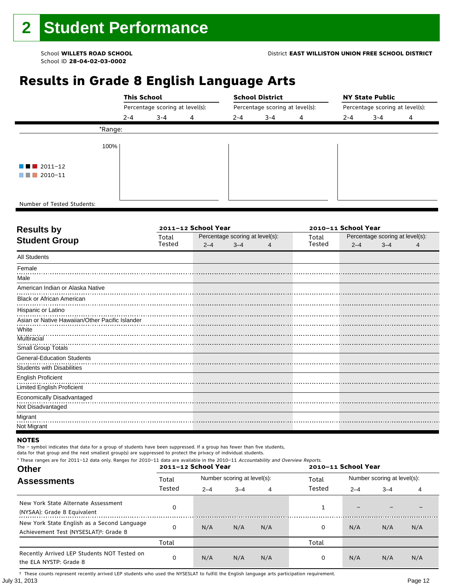# **Results in Grade 8 English Language Arts**

|                                       |         | <b>This School</b>              |   |         | <b>School District</b>          |   | <b>NY State Public</b>          |         |   |  |  |
|---------------------------------------|---------|---------------------------------|---|---------|---------------------------------|---|---------------------------------|---------|---|--|--|
|                                       |         | Percentage scoring at level(s): |   |         | Percentage scoring at level(s): |   | Percentage scoring at level(s): |         |   |  |  |
|                                       | $2 - 4$ | $3 - 4$                         | 4 | $2 - 4$ | $3 - 4$                         | 4 | $2 - 4$                         | $3 - 4$ | 4 |  |  |
| *Range:                               |         |                                 |   |         |                                 |   |                                 |         |   |  |  |
| 100%                                  |         |                                 |   |         |                                 |   |                                 |         |   |  |  |
| $\blacksquare$ $\blacksquare$ 2011-12 |         |                                 |   |         |                                 |   |                                 |         |   |  |  |
| 2010-11<br>a shekara                  |         |                                 |   |         |                                 |   |                                 |         |   |  |  |
|                                       |         |                                 |   |         |                                 |   |                                 |         |   |  |  |
| Number of Tested Students:            |         |                                 |   |         |                                 |   |                                 |         |   |  |  |

٦

| Total  |         |         |                     | Total                           | Percentage scoring at level(s): |         |                     |  |
|--------|---------|---------|---------------------|---------------------------------|---------------------------------|---------|---------------------|--|
| Tested | $2 - 4$ | $3 - 4$ | 4                   | Tested                          | $2 - 4$                         | $3 - 4$ |                     |  |
|        |         |         |                     |                                 |                                 |         |                     |  |
|        |         |         |                     |                                 |                                 |         |                     |  |
|        |         |         |                     |                                 |                                 |         |                     |  |
|        |         |         |                     |                                 |                                 |         |                     |  |
|        |         |         |                     |                                 |                                 |         |                     |  |
|        |         |         |                     |                                 |                                 |         |                     |  |
|        |         |         |                     |                                 |                                 |         |                     |  |
|        |         |         |                     |                                 |                                 |         |                     |  |
|        |         |         |                     |                                 |                                 |         |                     |  |
|        |         |         |                     |                                 |                                 |         |                     |  |
|        |         |         |                     |                                 |                                 |         |                     |  |
|        |         |         |                     |                                 |                                 |         |                     |  |
|        |         |         |                     |                                 |                                 |         |                     |  |
|        |         |         |                     |                                 |                                 |         |                     |  |
|        |         |         |                     |                                 |                                 |         |                     |  |
|        |         |         |                     |                                 |                                 |         |                     |  |
|        |         |         |                     |                                 |                                 |         |                     |  |
|        |         |         |                     |                                 |                                 |         |                     |  |
|        |         |         | 2011-12 School Year | Percentage scoring at level(s): |                                 |         | 2010-11 School Year |  |

#### **NOTES**

The – symbol indicates that data for a group of students have been suppressed. If a group has fewer than five students,

data for that group and the next smallest group(s) are suppressed to protect the privacy of individual students. \* These ranges are for 2011–12 data only. Ranges for 2010–11 data are available in the 2010–11 Accountability and Overview Reports.

| THESE TRINGES ALE TOT ZUIT-IZ GATA UNIV. RANGES TOT ZUIU-II GATA ALE AVAILADLE IN THE ZUIU-II ACCOMMADMY AND OVERVIEW REPORTS.<br><b>Other</b> |        | 2011-12 School Year |                             |     | 2010-11 School Year |                             |         |     |  |
|------------------------------------------------------------------------------------------------------------------------------------------------|--------|---------------------|-----------------------------|-----|---------------------|-----------------------------|---------|-----|--|
| <b>Assessments</b>                                                                                                                             | Total  |                     | Number scoring at level(s): |     | Total               | Number scoring at level(s): |         |     |  |
|                                                                                                                                                | Tested | $2 - 4$             | $3 - 4$<br>4                |     | Tested              | $2 - 4$                     | $3 - 4$ | 4   |  |
| New York State Alternate Assessment<br>(NYSAA): Grade 8 Equivalent                                                                             |        |                     |                             |     |                     |                             |         |     |  |
| New York State English as a Second Language<br>Achievement Test (NYSESLAT) <sup>†</sup> : Grade 8                                              |        | N/A                 | N/A                         | N/A | 0                   | N/A                         | N/A     | N/A |  |
|                                                                                                                                                | Total  |                     |                             |     | Total               |                             |         |     |  |
| Recently Arrived LEP Students NOT Tested on<br>the ELA NYSTP: Grade 8                                                                          |        | N/A                 | N/A                         | N/A | 0                   | N/A                         | N/A     | N/A |  |

July 31, 2013 Page 12 † These counts represent recently arrived LEP students who used the NYSESLAT to fulfill the English language arts participation requirement.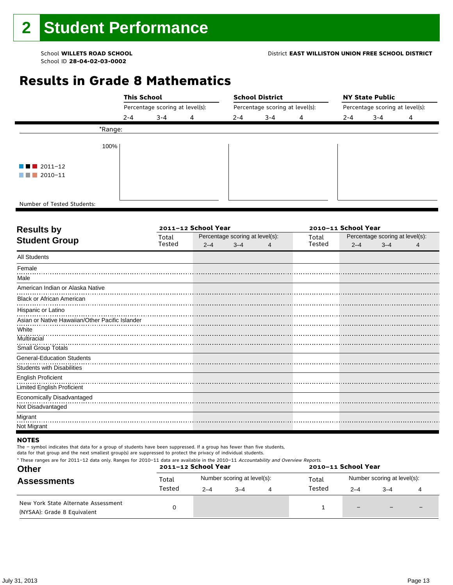# **Results in Grade 8 Mathematics**

|                                       |         | <b>This School</b>              |   |         | <b>School District</b> |                                 | <b>NY State Public</b>          |         |   |  |  |
|---------------------------------------|---------|---------------------------------|---|---------|------------------------|---------------------------------|---------------------------------|---------|---|--|--|
|                                       |         | Percentage scoring at level(s): |   |         |                        | Percentage scoring at level(s): | Percentage scoring at level(s): |         |   |  |  |
|                                       | $2 - 4$ | $3 - 4$                         | 4 | $2 - 4$ | $3 - 4$                | 4                               | $2 - 4$                         | $3 - 4$ | 4 |  |  |
|                                       | *Range: |                                 |   |         |                        |                                 |                                 |         |   |  |  |
|                                       | 100%    |                                 |   |         |                        |                                 |                                 |         |   |  |  |
| $\blacksquare$ $\blacksquare$ 2011-12 |         |                                 |   |         |                        |                                 |                                 |         |   |  |  |
| $\blacksquare$ 2010-11                |         |                                 |   |         |                        |                                 |                                 |         |   |  |  |
|                                       |         |                                 |   |         |                        |                                 |                                 |         |   |  |  |
| Number of Tested Students:            |         |                                 |   |         |                        |                                 |                                 |         |   |  |  |

٦

| <b>Results by</b>                               |        | 2011-12 School Year |                                 | 2010-11 School Year |        |                                 |         |   |  |
|-------------------------------------------------|--------|---------------------|---------------------------------|---------------------|--------|---------------------------------|---------|---|--|
| <b>Student Group</b>                            | Total  |                     | Percentage scoring at level(s): |                     | Total  | Percentage scoring at level(s): |         |   |  |
|                                                 | Tested | $2 - 4$             | $3 - 4$                         |                     | Tested | $2 - 4$                         | $3 - 4$ | 4 |  |
| <b>All Students</b>                             |        |                     |                                 |                     |        |                                 |         |   |  |
| Female                                          |        |                     |                                 |                     |        |                                 |         |   |  |
| Male                                            |        |                     |                                 |                     |        |                                 |         |   |  |
| American Indian or Alaska Native                |        |                     |                                 |                     |        |                                 |         |   |  |
| <b>Black or African American</b>                |        |                     |                                 |                     |        |                                 |         |   |  |
| Hispanic or Latino                              |        |                     |                                 |                     |        |                                 |         |   |  |
| Asian or Native Hawaiian/Other Pacific Islander |        |                     |                                 |                     |        |                                 |         |   |  |
| White                                           |        |                     |                                 |                     |        |                                 |         |   |  |
| Multiracial                                     |        |                     |                                 |                     |        |                                 |         |   |  |
| Small Group Totals                              |        |                     |                                 |                     |        |                                 |         |   |  |
| <b>General-Education Students</b>               |        |                     |                                 |                     |        |                                 |         |   |  |
| Students with Disabilities                      |        |                     |                                 |                     |        |                                 |         |   |  |
| <b>English Proficient</b>                       |        |                     |                                 |                     |        |                                 |         |   |  |
| Limited English Proficient                      |        |                     |                                 |                     |        |                                 |         |   |  |
| Economically Disadvantaged                      |        |                     |                                 |                     |        |                                 |         |   |  |
| Not Disadvantaged                               |        |                     |                                 |                     |        |                                 |         |   |  |
| Migrant                                         |        |                     |                                 |                     |        |                                 |         |   |  |
| Not Migrant                                     |        |                     |                                 |                     |        |                                 |         |   |  |

## **NOTES**

The – symbol indicates that data for a group of students have been suppressed. If a group has fewer than five students,

data for that group and the next smallest group(s) are suppressed to protect the privacy of individual students. \* These ranges are for 2011–12 data only. Ranges for 2010–11 data are available in the 2010–11 Accountability and Overview Reports.

| <b>Other</b>                                                       |        | 2011-12 School Year |                             | 2010-11 School Year |                             |      |  |  |  |
|--------------------------------------------------------------------|--------|---------------------|-----------------------------|---------------------|-----------------------------|------|--|--|--|
| <b>Assessments</b>                                                 | Total  |                     | Number scoring at level(s): | Total               | Number scoring at level(s): |      |  |  |  |
|                                                                    | Tested | $2 - 4$             | $-4$                        | Tested              | $2 - 4$                     | $-4$ |  |  |  |
| New York State Alternate Assessment<br>(NYSAA): Grade 8 Equivalent |        |                     |                             |                     | -                           |      |  |  |  |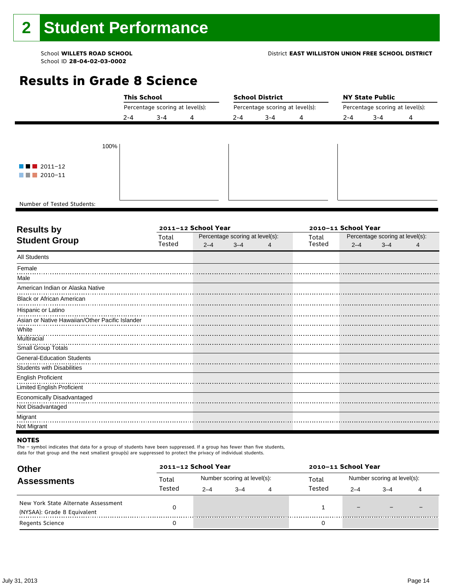# **Results in Grade 8 Science**

|                                       | <b>This School</b> |                                 |  |         | <b>School District</b>          |  | <b>NY State Public</b>          |         |   |  |  |
|---------------------------------------|--------------------|---------------------------------|--|---------|---------------------------------|--|---------------------------------|---------|---|--|--|
|                                       |                    | Percentage scoring at level(s): |  |         | Percentage scoring at level(s): |  | Percentage scoring at level(s): |         |   |  |  |
|                                       | $2 - 4$            | $3 - 4$<br>4                    |  | $2 - 4$ | $3 - 4$<br>4                    |  | $2 - 4$                         | $3 - 4$ | 4 |  |  |
|                                       |                    |                                 |  |         |                                 |  |                                 |         |   |  |  |
| 100%                                  |                    |                                 |  |         |                                 |  |                                 |         |   |  |  |
| $\blacksquare$ $\blacksquare$ 2011-12 |                    |                                 |  |         |                                 |  |                                 |         |   |  |  |
| $\blacksquare$ 2010-11                |                    |                                 |  |         |                                 |  |                                 |         |   |  |  |
|                                       |                    |                                 |  |         |                                 |  |                                 |         |   |  |  |
| Number of Tested Students:            |                    |                                 |  |         |                                 |  |                                 |         |   |  |  |

٦

| <b>Results by</b>                               |        | 2011-12 School Year |                                 | 2010-11 School Year |        |                                 |         |   |  |  |
|-------------------------------------------------|--------|---------------------|---------------------------------|---------------------|--------|---------------------------------|---------|---|--|--|
| <b>Student Group</b>                            | Total  |                     | Percentage scoring at level(s): |                     | Total  | Percentage scoring at level(s): |         |   |  |  |
|                                                 | Tested | $2 - 4$             | $3 - 4$                         | 4                   | Tested | $2 - 4$                         | $3 - 4$ | 4 |  |  |
| <b>All Students</b>                             |        |                     |                                 |                     |        |                                 |         |   |  |  |
| Female                                          |        |                     |                                 |                     |        |                                 |         |   |  |  |
| Male                                            |        |                     |                                 |                     |        |                                 |         |   |  |  |
| American Indian or Alaska Native                |        |                     |                                 |                     |        |                                 |         |   |  |  |
| <b>Black or African American</b>                |        |                     |                                 |                     |        |                                 |         |   |  |  |
| Hispanic or Latino                              |        |                     |                                 |                     |        |                                 |         |   |  |  |
| Asian or Native Hawaiian/Other Pacific Islander |        |                     |                                 |                     |        |                                 |         |   |  |  |
| White                                           |        |                     |                                 |                     |        |                                 |         |   |  |  |
| Multiracial                                     |        |                     |                                 |                     |        |                                 |         |   |  |  |
| Small Group Totals                              |        |                     |                                 |                     |        |                                 |         |   |  |  |
| <b>General-Education Students</b>               |        |                     |                                 |                     |        |                                 |         |   |  |  |
| <b>Students with Disabilities</b>               |        |                     |                                 |                     |        |                                 |         |   |  |  |
| <b>English Proficient</b>                       |        |                     |                                 |                     |        |                                 |         |   |  |  |
| Limited English Proficient                      |        |                     |                                 |                     |        |                                 |         |   |  |  |
| Economically Disadvantaged                      |        |                     |                                 |                     |        |                                 |         |   |  |  |
| Not Disadvantaged                               |        |                     |                                 |                     |        |                                 |         |   |  |  |
| Migrant                                         |        |                     |                                 |                     |        |                                 |         |   |  |  |
| Not Migrant                                     |        |                     |                                 |                     |        |                                 |         |   |  |  |

#### **NOTES**

The – symbol indicates that data for a group of students have been suppressed. If a group has fewer than five students,

| <b>Other</b>                                                       |        | 2011-12 School Year |                             |   | 2010-11 School Year |                             |         |  |  |
|--------------------------------------------------------------------|--------|---------------------|-----------------------------|---|---------------------|-----------------------------|---------|--|--|
| <b>Assessments</b>                                                 | Total  |                     | Number scoring at level(s): |   | Total               | Number scoring at level(s): |         |  |  |
|                                                                    | Tested | $2 - 4$             | $-4$                        | 4 | Tested              | $2 - 4$                     | $3 - 4$ |  |  |
| New York State Alternate Assessment<br>(NYSAA): Grade 8 Equivalent |        |                     |                             |   |                     | -                           |         |  |  |
| <b>Regents Science</b>                                             |        |                     |                             |   |                     |                             |         |  |  |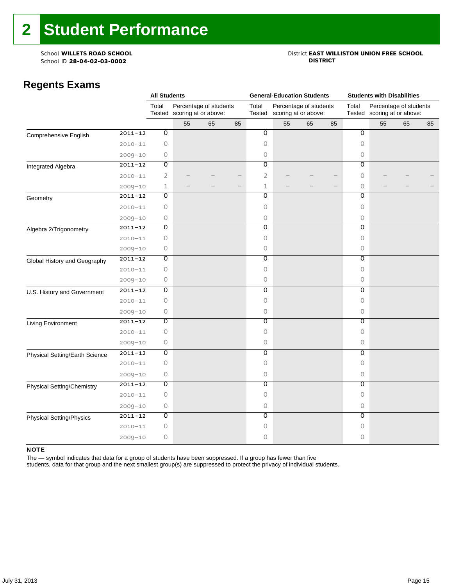# School **WILLETS ROAD SCHOOL**<br>School ID 28-04-02-03-0002<br>**DISTRICT** DISTRICT

## **Regents Exams**

|                                 |             | <b>All Students</b> |                                                       |    |    |                           | <b>General-Education Students</b>              |    |    | <b>Students with Disabilities</b> |                                                       |    |    |  |
|---------------------------------|-------------|---------------------|-------------------------------------------------------|----|----|---------------------------|------------------------------------------------|----|----|-----------------------------------|-------------------------------------------------------|----|----|--|
|                                 |             | Total               | Percentage of students<br>Tested scoring at or above: |    |    | Total<br>Tested           | Percentage of students<br>scoring at or above: |    |    | Total                             | Percentage of students<br>Tested scoring at or above: |    |    |  |
|                                 |             |                     | 55                                                    | 65 | 85 |                           | 55                                             | 65 | 85 |                                   | 55                                                    | 65 | 85 |  |
| Comprehensive English           | $2011 - 12$ | $\overline{0}$      |                                                       |    |    | $\overline{\mathfrak{o}}$ |                                                |    |    | $\overline{0}$                    |                                                       |    |    |  |
|                                 | $2010 - 11$ | $\circ$             |                                                       |    |    | $\circ$                   |                                                |    |    | $\circ$                           |                                                       |    |    |  |
|                                 | $2009 - 10$ | 0                   |                                                       |    |    | $\circ$                   |                                                |    |    | 0                                 |                                                       |    |    |  |
| Integrated Algebra              | $2011 - 12$ | 0                   |                                                       |    |    | $\overline{0}$            |                                                |    |    | $\overline{0}$                    |                                                       |    |    |  |
|                                 | $2010 - 11$ | $\overline{2}$      |                                                       |    |    | $\overline{2}$            |                                                |    |    | $\circ$                           |                                                       |    |    |  |
|                                 | $2009 - 10$ | 1                   |                                                       |    |    | $1\,$                     |                                                |    |    | $\circ$                           |                                                       |    |    |  |
| Geometry                        | $2011 - 12$ | 0                   |                                                       |    |    | Ō                         |                                                |    |    | 0                                 |                                                       |    |    |  |
|                                 | $2010 - 11$ | $\circ$             |                                                       |    |    | $\circ$                   |                                                |    |    | $\circ$                           |                                                       |    |    |  |
|                                 | $2009 - 10$ | $\circ$             |                                                       |    |    | $\circ$                   |                                                |    |    | $\circ$                           |                                                       |    |    |  |
| Algebra 2/Trigonometry          | $2011 - 12$ | 0                   |                                                       |    |    | $\overline{0}$            |                                                |    |    | $\overline{0}$                    |                                                       |    |    |  |
|                                 | $2010 - 11$ | $\circ$             |                                                       |    |    | $\circ$                   |                                                |    |    | 0                                 |                                                       |    |    |  |
|                                 | $2009 - 10$ | 0                   |                                                       |    |    | 0                         |                                                |    |    | 0                                 |                                                       |    |    |  |
| Global History and Geography    | $2011 - 12$ | $\overline{0}$      |                                                       |    |    | $\overline{0}$            |                                                |    |    | $\overline{0}$                    |                                                       |    |    |  |
|                                 | $2010 - 11$ | $\circ$             |                                                       |    |    | $\circ$                   |                                                |    |    | $\circ$                           |                                                       |    |    |  |
|                                 | $2009 - 10$ | 0                   |                                                       |    |    | $\circ$                   |                                                |    |    | $\circ$                           |                                                       |    |    |  |
| U.S. History and Government     | $2011 - 12$ | $\overline{0}$      |                                                       |    |    | $\overline{0}$            |                                                |    |    | $\overline{0}$                    |                                                       |    |    |  |
|                                 | $2010 - 11$ | $\circ$             |                                                       |    |    | $\circ$                   |                                                |    |    | $\circ$                           |                                                       |    |    |  |
|                                 | $2009 - 10$ | 0                   |                                                       |    |    | $\circ$                   |                                                |    |    | $\circ$                           |                                                       |    |    |  |
| Living Environment              | $2011 - 12$ | $\overline{0}$      |                                                       |    |    | $\overline{0}$            |                                                |    |    | $\overline{0}$                    |                                                       |    |    |  |
|                                 | $2010 - 11$ | $\circ$             |                                                       |    |    | $\circ$                   |                                                |    |    | $\circ$                           |                                                       |    |    |  |
|                                 | $2009 - 10$ | $\circ$             |                                                       |    |    | $\circ$                   |                                                |    |    | 0                                 |                                                       |    |    |  |
| Physical Setting/Earth Science  | $2011 - 12$ | 0                   |                                                       |    |    | $\overline{0}$            |                                                |    |    | 0                                 |                                                       |    |    |  |
|                                 | $2010 - 11$ | 0                   |                                                       |    |    | $\Omega$                  |                                                |    |    | $\Omega$                          |                                                       |    |    |  |
|                                 | $2009 - 10$ | 0                   |                                                       |    |    | $\circ$                   |                                                |    |    | 0                                 |                                                       |    |    |  |
| Physical Setting/Chemistry      | $2011 - 12$ | O                   |                                                       |    |    | 0                         |                                                |    |    | 0                                 |                                                       |    |    |  |
|                                 | $2010 - 11$ | $\circ$             |                                                       |    |    | $\circ$                   |                                                |    |    | $\circ$                           |                                                       |    |    |  |
|                                 | $2009 - 10$ | $\circ$             |                                                       |    |    | $\circ$                   |                                                |    |    | $\circ$                           |                                                       |    |    |  |
| <b>Physical Setting/Physics</b> | $2011 - 12$ | 0                   |                                                       |    |    | $\overline{0}$            |                                                |    |    | $\overline{0}$                    |                                                       |    |    |  |
|                                 | $2010 - 11$ | $\circ$             |                                                       |    |    | $\circ$                   |                                                |    |    | 0                                 |                                                       |    |    |  |
|                                 | $2009 - 10$ | $\mathsf{O}\xspace$ |                                                       |    |    | 0                         |                                                |    |    | 0                                 |                                                       |    |    |  |

#### NOTE

The — symbol indicates that data for a group of students have been suppressed. If a group has fewer than five